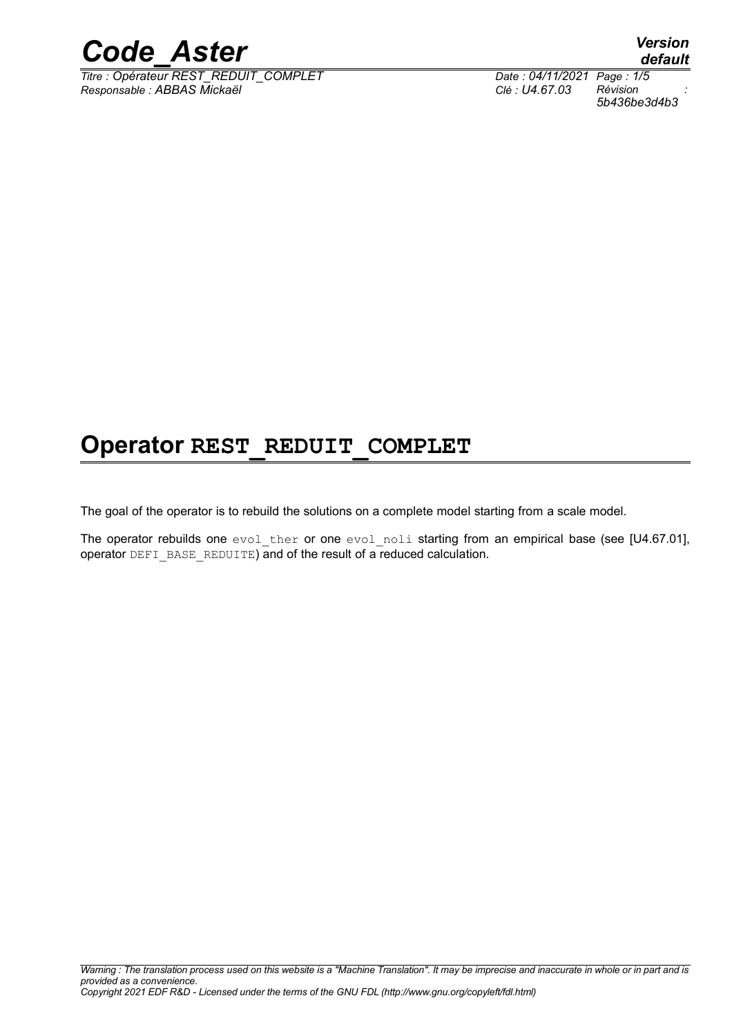

*Titre : Opérateur REST\_REDUIT\_COMPLET Date : 04/11/2021 Page : 1/5 Responsable : ABBAS Mickaël Clé : U4.67.03 Révision :*

*5b436be3d4b3*

### **Operator REST\_REDUIT\_COMPLET**

The goal of the operator is to rebuild the solutions on a complete model starting from a scale model.

The operator rebuilds one evol ther or one evol noli starting from an empirical base (see [U4.67.01], operator DEFI\_BASE\_REDUITE) and of the result of a reduced calculation.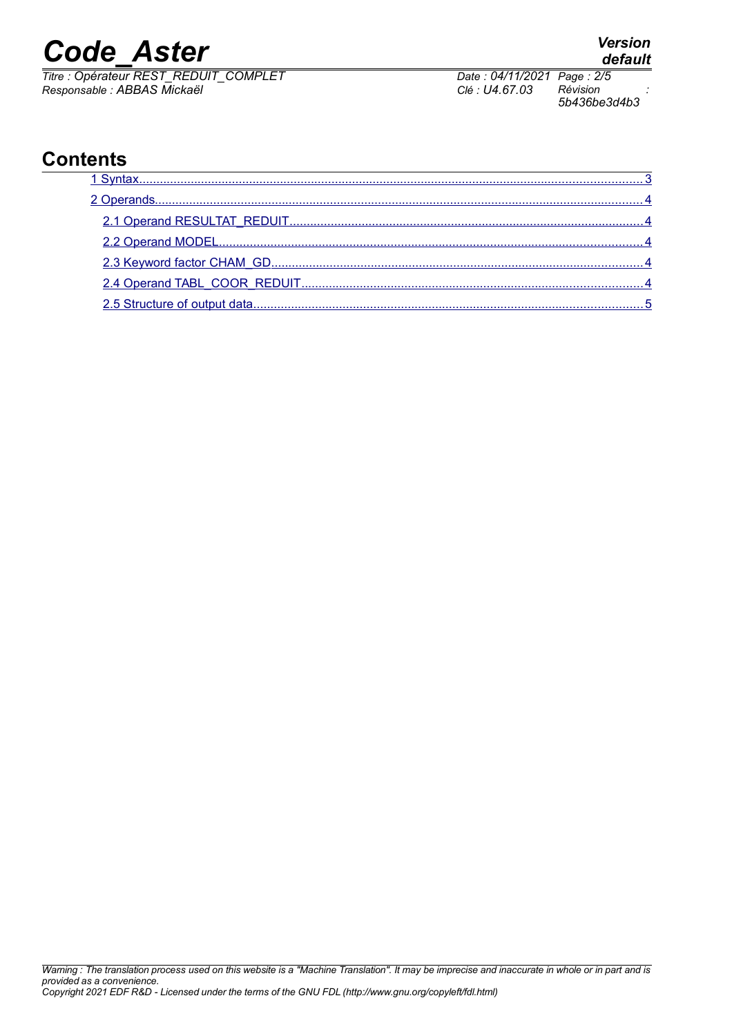# *Code\_Aster Version*

*Titre : Opérateur REST\_REDUIT\_COMPLET Date : 04/11/2021 Page : 2/5 Responsable : ABBAS Mickaël Clé : U4.67.03 Révision :*

*5b436be3d4b3*

#### **Contents**

## *default*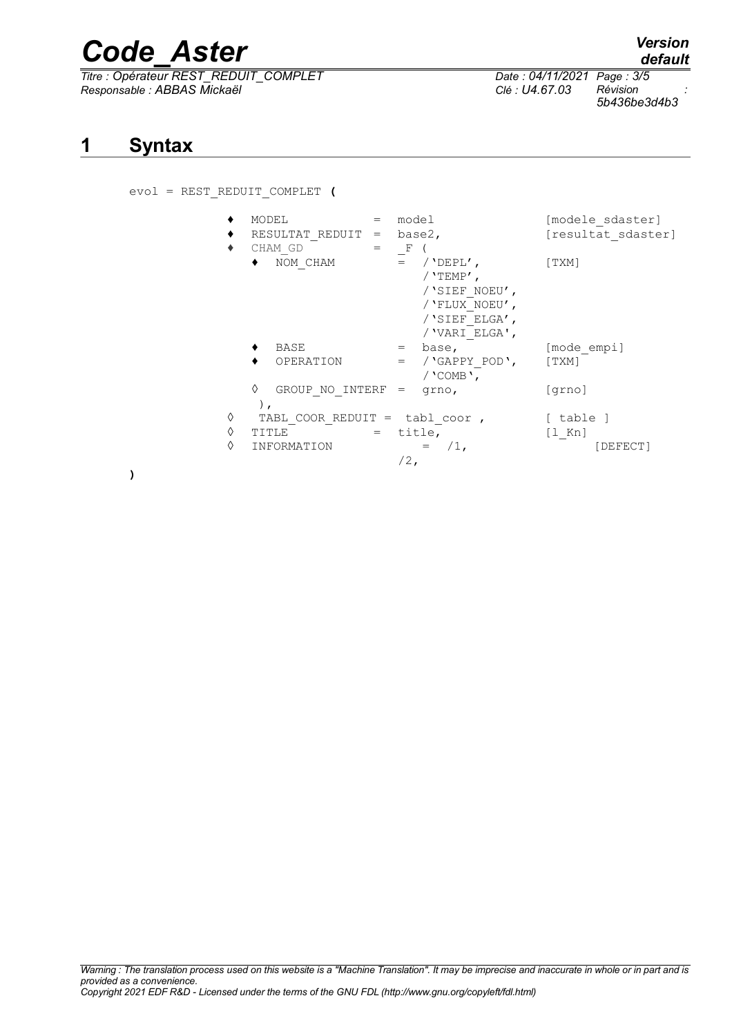# *Code\_Aster Version*

*Titre : Opérateur REST\_REDUIT\_COMPLET Date : 04/11/2021 Page : 3/5 Responsable : ABBAS Mickaël Clé : U4.67.03 Révision :*

<span id="page-2-0"></span>evol = REST\_REDUIT\_COMPLET **(**

| ٠<br>٠ | MODEL<br>RESULTAT REDUIT =      | model<br>base2,                                                                                           | [modele sdaster]<br>[resultat sdaster] |
|--------|---------------------------------|-----------------------------------------------------------------------------------------------------------|----------------------------------------|
| ٠      | CHAM GD<br>NOM CHAM             | – F<br>$=$ / 'DEPL',<br>$/$ 'TEMP',<br>/'SIEF NOEU',<br>/ 'FLUX NOEU',<br>/'SIEF ELGA',<br>/ 'VARI ELGA', | [TXM]                                  |
|        | BASE                            | base,<br>$=$                                                                                              | [mode empi]                            |
|        | OPERATION                       | / 'GAPPY POD',<br>$=$<br>/ $'$ COMB $'$ ,                                                                 | [TXM]                                  |
|        | ♦<br>GROUP NO INTERF = $qrno$ , |                                                                                                           | [qrno]                                 |
| ♦      | TABL COOR REDUIT = tabl coor,   |                                                                                                           | [ table ]                              |
| ♦      | TITLE                           | title,                                                                                                    | $\lceil 1 \rceil$ Kn                   |
| ♦      | INFORMATION                     | $/1$ ,<br>$/2$ ,                                                                                          | [DEFECT]                               |

**)**

**1 Syntax**

*5b436be3d4b3*

*default*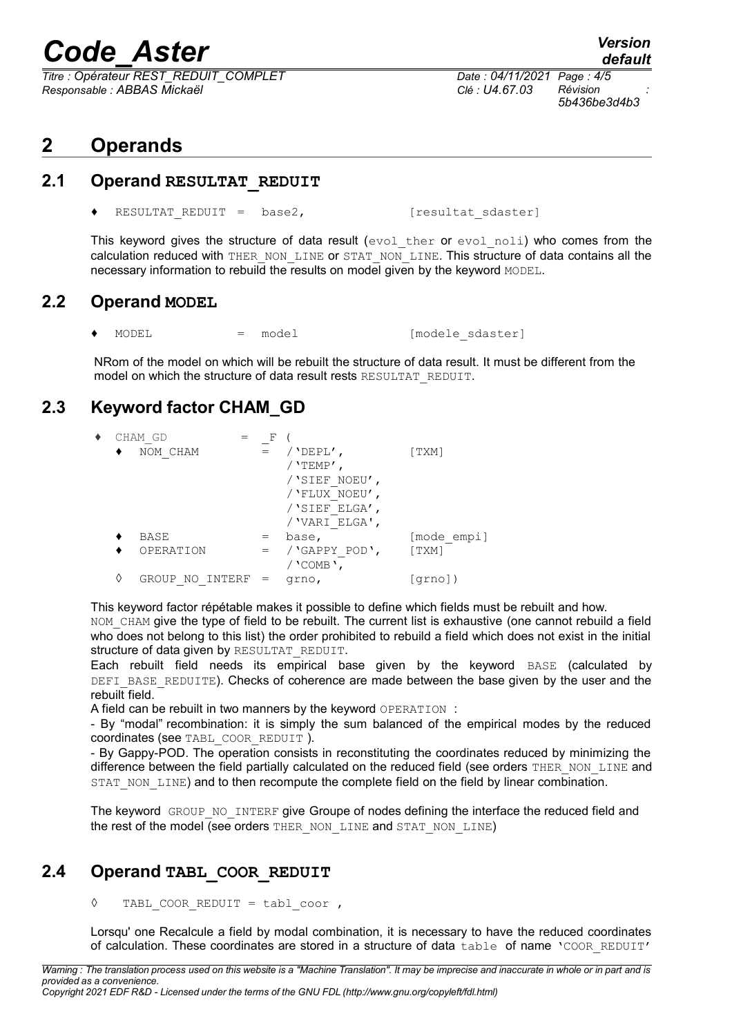# *Code\_Aster Version*

*Titre : Opérateur REST\_REDUIT\_COMPLET Date : 04/11/2021 Page : 4/5 Responsable : ABBAS Mickaël Clé : U4.67.03 Révision :*

### *default*

*5b436be3d4b3*

#### <span id="page-3-4"></span>**2 Operands**

#### **2.1 Operand RESULTAT\_REDUIT**

<span id="page-3-3"></span>RESULTAT REDUIT =  $base2$ , [resultat sdaster]

This keyword gives the structure of data result (evol ther or evol noli) who comes from the calculation reduced with THER\_NON\_LINE or STAT\_NON\_LINE. This structure of data contains all the necessary information to rebuild the results on model given by the keyword MODEL.

#### **2.2 Operand MODEL**

<span id="page-3-2"></span>MODEL = model = model [modele sdaster]

NRom of the model on which will be rebuilt the structure of data result. It must be different from the model on which the structure of data result rests RESULTAT\_REDUIT.

#### **2.3 Keyword factor CHAM\_GD**

<span id="page-3-1"></span>

| ٠ |   | CHAM GD                | F   |                   |               |
|---|---|------------------------|-----|-------------------|---------------|
|   |   | NOM CHAM               | $=$ | $/$ 'DEPL',       | $\lceil$ TXM] |
|   |   |                        |     | / 'TEMP $^\prime$ |               |
|   |   |                        |     | /'SIEF NOEU',     |               |
|   |   |                        |     | / 'FLUX NOEU',    |               |
|   |   |                        |     | /'SIEF ELGA',     |               |
|   |   |                        |     | / 'VARI ELGA',    |               |
|   |   | BASE                   |     | base,             | [mode empi]   |
|   |   | OPERATION              |     | /'GAPPY POD',     | $\lceil$ TXM] |
|   |   |                        |     | / 'COMB',         |               |
|   | ♦ | INTERF<br>GROUP<br>NO. |     | grno,             | qrno )        |

This keyword factor répétable makes it possible to define which fields must be rebuilt and how.

NOM CHAM give the type of field to be rebuilt. The current list is exhaustive (one cannot rebuild a field who does not belong to this list) the order prohibited to rebuild a field which does not exist in the initial structure of data given by RESULTAT\_REDUIT.

Each rebuilt field needs its empirical base given by the keyword BASE (calculated by DEFI\_BASE\_REDUITE). Checks of coherence are made between the base given by the user and the  $re$ built field.

A field can be rebuilt in two manners by the keyword OPERATION :

- By "modal" recombination: it is simply the sum balanced of the empirical modes by the reduced coordinates (see TABL\_COOR\_REDUIT ).

- By Gappy-POD. The operation consists in reconstituting the coordinates reduced by minimizing the difference between the field partially calculated on the reduced field (see orders THER\_NON\_LINE and STAT\_NON\_LINE) and to then recompute the complete field on the field by linear combination.

The keyword GROUP NO INTERF give Groupe of nodes defining the interface the reduced field and the rest of the model (see orders THER\_NON\_LINE and STAT\_NON\_LINE)

#### **2.4 Operand TABL\_COOR\_REDUIT**

#### <span id="page-3-0"></span>**◊** TABL\_COOR\_REDUIT = tabl\_coor ,

Lorsqu' one Recalcule a field by modal combination, it is necessary to have the reduced coordinates of calculation. These coordinates are stored in a structure of data table of name 'COOR REDUIT'